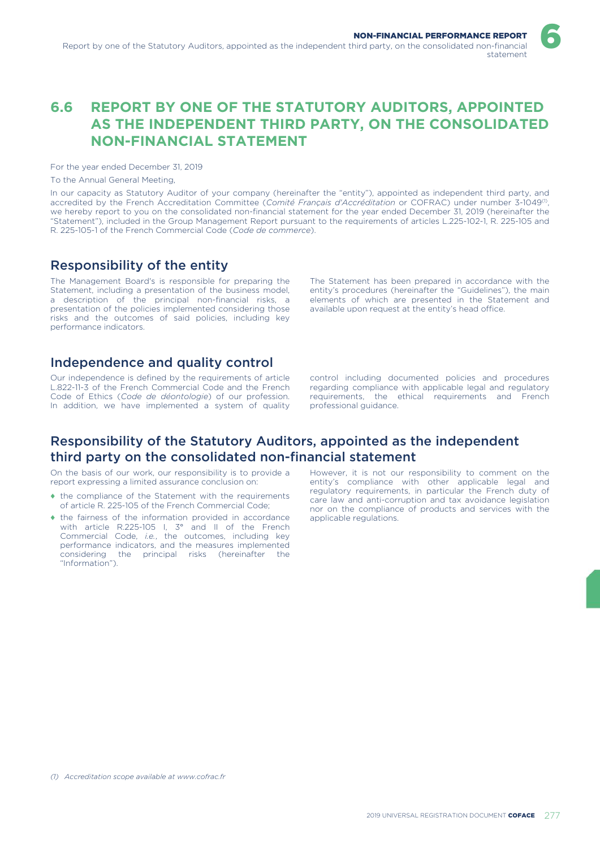# **6.6 REPORT BY ONE OF THE STATUTORY AUDITORS, APPOINTED AS THE INDEPENDENT THIRD PARTY, ON THE CONSOLIDATED NON-FINANCIAL STATEMENT**

For the year ended December 31, 2019

To the Annual General Meeting,

In our capacity as Statutory Auditor of your company (hereinafter the "entity"), appointed as independent third party, and accredited by the French Accreditation Committee (*Comité Français d'Accréditation* or COFRAC) under number 3-1049<sup>0</sup>, we hereby report to you on the consolidated non-financial statement for the year ended December 31, 2019 (hereinafter the "Statement"), included in the Group Management Report pursuant to the requirements of articles L.225-102-1, R. 225-105 and R. 225-105-1 of the French Commercial Code (*Code de commerce*).

## Responsibility of the entity

The Management Board's is responsible for preparing the Statement, including a presentation of the business model, a description of the principal non-financial risks, a presentation of the policies implemented considering those risks and the outcomes of said policies, including key performance indicators.

The Statement has been prepared in accordance with the entity's procedures (hereinafter the "Guidelines"), the main elements of which are presented in the Statement and available upon request at the entity's head office.

6

## Independence and quality control

Our independence is defined by the requirements of article L.822-11-3 of the French Commercial Code and the French Code of Ethics (*Code de déontologie*) of our profession. In addition, we have implemented a system of quality

control including documented policies and procedures regarding compliance with applicable legal and regulatory requirements, the ethical requirements and French professional guidance.

### Responsibility of the Statutory Auditors, appointed as the independent third party on the consolidated non-financial statement

On the basis of our work, our responsibility is to provide a report expressing a limited assurance conclusion on:

- ♦ the compliance of the Statement with the requirements of article R. 225-105 of the French Commercial Code;
- the fairness of the information provided in accordance with article R.225-105 I, 3° and II of the French Commercial Code, *i.e.*, the outcomes, including key performance indicators, and the measures implemented considering the principal risks (hereinafter the "Information").

However, it is not our responsibility to comment on the entity's compliance with other applicable legal and regulatory requirements, in particular the French duty of care law and anti-corruption and tax avoidance legislation nor on the compliance of products and services with the applicable regulations.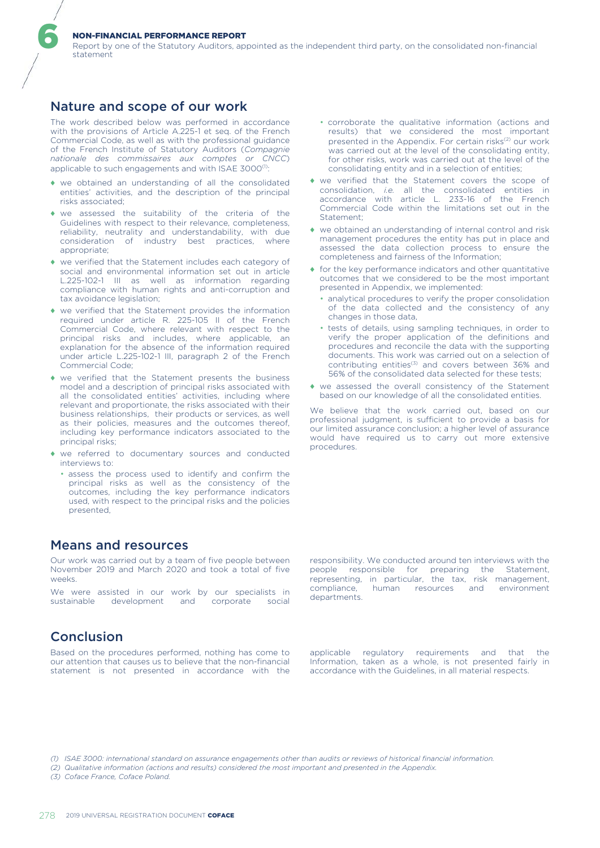#### NON-FINANCIAL PERFORMANCE REPORT

Report by one of the Statutory Auditors, appointed as the independent third party, on the consolidated non-financial statement

### Nature and scope of our work

6

The work described below was performed in accordance with the provisions of Article A.225-1 et seq. of the French Commercial Code, as well as with the professional guidance of the French Institute of Statutory Auditors (*Compagnie nationale des commissaires aux comptes or CNCC*) applicable to such engagements and with ISAE 3000<sup>(1)</sup>:

- ♦ we obtained an understanding of all the consolidated entities' activities, and the description of the principal risks associated;
- ♦ we assessed the suitability of the criteria of the Guidelines with respect to their relevance, completeness, reliability, neutrality and understandability, with due consideration of industry best practices, where appropriate;
- ♦ we verified that the Statement includes each category of social and environmental information set out in article L.225-102-1 III as well as information regarding compliance with human rights and anti-corruption and tax avoidance legislation;
- ♦ we verified that the Statement provides the information required under article R. 225-105 II of the French Commercial Code, where relevant with respect to the principal risks and includes, where applicable, an principal risks and includes, explanation for the absence of the information required under article L.225-102-1 III, paragraph 2 of the French Commercial Code;
- ♦ we verified that the Statement presents the business model and a description of principal risks associated with all the consolidated entities' activities, including where relevant and proportionate, the risks associated with their business relationships, their products or services, as well as their policies, measures and the outcomes thereof, including key performance indicators associated to the principal risks;
- ♦ we referred to documentary sources and conducted interviews to:
	- assess the process used to identify and confirm the principal risks as well as the consistency of the outcomes, including the key performance indicators used, with respect to the principal risks and the policies presented,

### Means and resources

Our work was carried out by a team of five people between November 2019 and March 2020 and took a total of five weeks.

We were assisted in our work by our specialists in sustainable development and corporate social

### Conclusion

Based on the procedures performed, nothing has come to our attention that causes us to believe that the non-financial statement is not presented in accordance with the

- corroborate the qualitative information (actions and results) that we considered the most important presented in the Appendix. For certain risks<sup>(2)</sup> our work was carried out at the level of the consolidating entity, for other risks, work was carried out at the level of the consolidating entity and in a selection of entities;
- ♦ we verified that the Statement covers the scope of consolidation, *i.e.* all the consolidated entities in accordance with article L. 233-16 of the French Commercial Code within the limitations set out in the Statement:
- ♦ we obtained an understanding of internal control and risk management procedures the entity has put in place and assessed the data collection process to ensure the completeness and fairness of the Information;
- $\bullet$  for the key performance indicators and other quantitative outcomes that we considered to be the most important presented in Appendix, we implemented:
	- analytical procedures to verify the proper consolidation of the data collected and the consistency of any changes in those data,
	- tests of details, using sampling techniques, in order to verify the proper application of the definitions and procedures and reconcile the data with the supporting documents. This work was carried out on a selection of contributing entities<sup>(3)</sup> and covers between 36% and 56% of the consolidated data selected for these tests;
- ♦ we assessed the overall consistency of the Statement based on our knowledge of all the consolidated entities.

We believe that the work carried out, based on our professional judgment, is sufficient to provide a basis for our limited assurance conclusion; a higher level of assurance would have required us to carry out more extensive procedures.

responsibility. We conducted around ten interviews with the people responsible for preparing the Statement, representing, in particular, the tax, risk management, compliance, human resources and environment departments.

applicable regulatory requirements and that the Information, taken as a whole, is not presented fairly in accordance with the Guidelines, in all material respects.

*(3) Coface France, Coface Poland.*

*<sup>(1)</sup> ISAE 3000: international standard on assurance engagements other than audits or reviews of historical financial information.*

*<sup>(2)</sup> Qualitative information (actions and results) considered the most important and presented in the Appendix.*